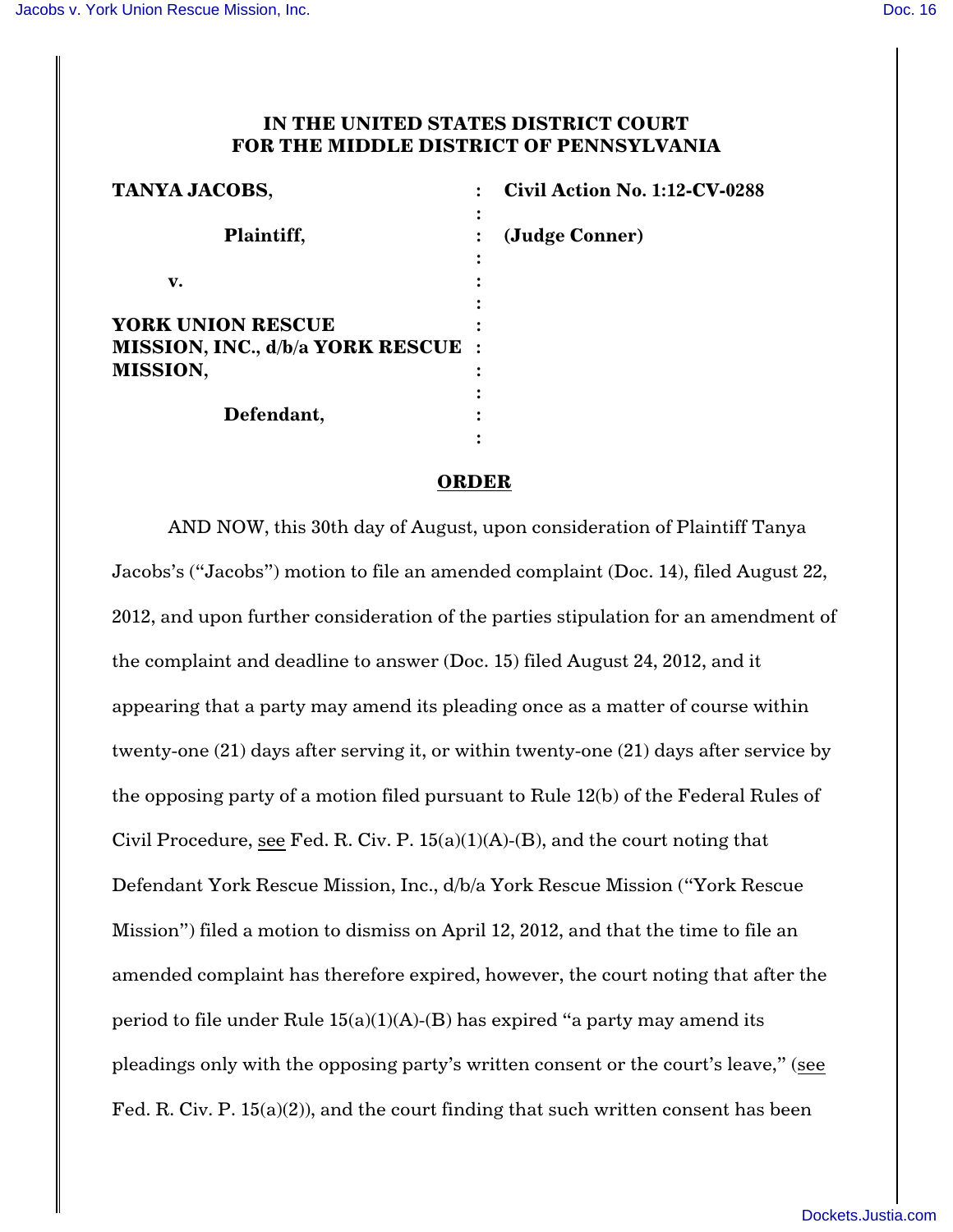## **IN THE UNITED STATES DISTRICT COURT FOR THE MIDDLE DISTRICT OF PENNSYLVANIA**

| <b>TANYA JACOBS,</b>                                                                     | <b>Civil Action No. 1:12-CV-0288</b> |
|------------------------------------------------------------------------------------------|--------------------------------------|
| Plaintiff,                                                                               | (Judge Conner)                       |
| v.                                                                                       |                                      |
| <b>YORK UNION RESCUE</b><br><b>MISSION, INC., d/b/a YORK RESCUE :</b><br><b>MISSION,</b> |                                      |
| Defendant,                                                                               |                                      |

## **ORDER**

AND NOW, this 30th day of August, upon consideration of Plaintiff Tanya Jacobs's ("Jacobs") motion to file an amended complaint (Doc. 14), filed August 22, 2012, and upon further consideration of the parties stipulation for an amendment of the complaint and deadline to answer (Doc. 15) filed August 24, 2012, and it appearing that a party may amend its pleading once as a matter of course within twenty-one (21) days after serving it, or within twenty-one (21) days after service by the opposing party of a motion filed pursuant to Rule 12(b) of the Federal Rules of Civil Procedure, see Fed. R. Civ. P.  $15(a)(1)(A)$ -(B), and the court noting that Defendant York Rescue Mission, Inc., d/b/a York Rescue Mission ("York Rescue Mission") filed a motion to dismiss on April 12, 2012, and that the time to file an amended complaint has therefore expired, however, the court noting that after the period to file under Rule  $15(a)(1)(A)-(B)$  has expired "a party may amend its pleadings only with the opposing party's written consent or the court's leave," (see Fed. R. Civ. P. 15(a)(2)), and the court finding that such written consent has been